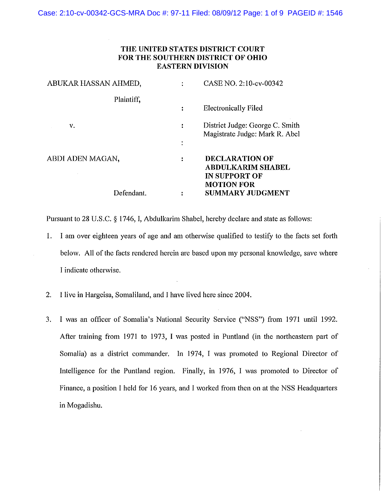# THE UNITED STATES DISTRICT COURT **FOR THE SOUTHERN DISTRICT OF OHIO EASTERN DIVISION**

| ABUKAR HASSAN AHMED, |                     | CASE NO. 2:10-cv-00342                                                                  |
|----------------------|---------------------|-----------------------------------------------------------------------------------------|
| Plaintiff,           |                     | <b>Electronically Filed</b>                                                             |
| v.                   | ፡<br>$\blacksquare$ | District Judge: George C. Smith<br>Magistrate Judge: Mark R. Abel                       |
| ABDI ADEN MAGAN,     | ፡                   | <b>DECLARATION OF</b><br>ABDULKARIM SHABEL<br><b>IN SUPPORT OF</b><br><b>MOTION FOR</b> |
| Defendant.           |                     | <b>SUMMARY JUDGMENT</b>                                                                 |

Pursuant to 28 U.S.C. § 1746, I, Abdulkarim Shabel, hereby declare and state as follows:

- 1. I am over eighteen years of age and am otherwise qualified to testify to the facts set forth below. All of the facts rendered herein are based upon my personal knowledge, save where I indicate otherwise.
- $2.$ I live in Hargeisa, Somaliland, and I have lived here since 2004.
- I was an officer of Somalia's National Security Service ("NSS") from 1971 until 1992. 3. After training from 1971 to 1973, I was posted in Puntland (in the northeastern part of Somalia) as a district commander. In 1974, I was promoted to Regional Director of Intelligence for the Puntland region. Finally, in 1976, I was promoted to Director of Finance, a position I held for 16 years, and I worked from then on at the NSS Headquarters in Mogadishu.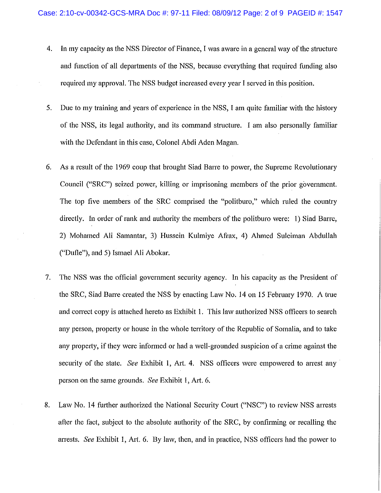- $4.$ In my capacity as the NSS Director of Finance, I was aware in a general way of the structure and function of all departments of the NSS, because everything that required funding also required my approval. The NSS budget increased every year I served in this position.
- 5. Due to my training and years of experience in the NSS, I am quite familiar with the history of the NSS, its legal authority, and its command structure. I am also personally familiar with the Defendant in this case, Colonel Abdi Aden Magan.
- 6. As a result of the 1969 coup that brought Siad Barre to power, the Supreme Revolutionary Council ("SRC") seized power, killing or imprisoning members of the prior government. The top five members of the SRC comprised the "politburo," which ruled the country directly. In order of rank and authority the members of the politburo were: 1) Siad Barre, 2) Mohamed Ali Samantar, 3) Hussein Kulmiye Afrax, 4) Ahmed Suleiman Abdullah ("Dufle"), and 5) Ismael Ali Abokar.
- $7.$ The NSS was the official government security agency. In his capacity as the President of the SRC, Siad Barre created the NSS by enacting Law No. 14 on 15 February 1970. A true and correct copy is attached hereto as Exhibit 1. This law authorized NSS officers to search any person, property or house in the whole territory of the Republic of Somalia, and to take any property, if they were informed or had a well-grounded suspicion of a crime against the security of the state. See Exhibit 1, Art. 4. NSS officers were empowered to arrest any person on the same grounds. See Exhibit 1, Art. 6.
- Law No. 14 further authorized the National Security Court ("NSC") to review NSS arrests 8. after the fact, subject to the absolute authority of the SRC, by confirming or recalling the arrests. See Exhibit 1, Art. 6. By law, then, and in practice, NSS officers had the power to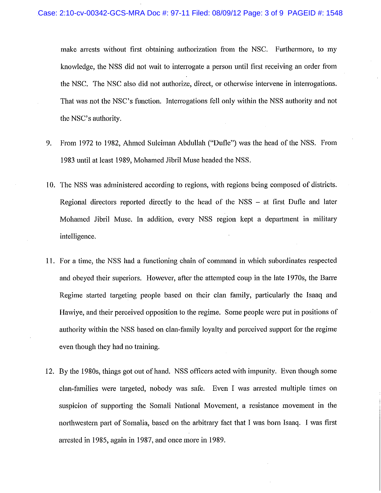make arrests without first obtaining authorization from the NSC. Furthermore, to my knowledge, the NSS did not wait to interrogate a person until first receiving an order from the NSC. The NSC also did not authorize, direct, or otherwise intervene in interrogations. That was not the NSC's function. Interrogations fell only within the NSS authority and not the NSC's authority.

- 9. From 1972 to 1982, Ahmed Suleiman Abdullah ("Dufle") was the head of the NSS. From 1983 until at least 1989, Mohamed Jibril Muse headed the NSS.
- 10. The NSS was administered according to regions, with regions being composed of districts. Regional directors reported directly to the head of the NSS – at first Dufle and later Mohamed Jibril Muse. In addition, every NSS region kept a department in military intelligence.
- 11. For a time, the NSS had a functioning chain of command in which subordinates respected and obeyed their superiors. However, after the attempted coup in the late 1970s, the Barre Regime started targeting people based on their clan family, particularly the Isaaq and Hawive, and their perceived opposition to the regime. Some people were put in positions of authority within the NSS based on clan-family loyalty and perceived support for the regime even though they had no training.
- 12. By the 1980s, things got out of hand. NSS officers acted with impunity. Even though some clan-families were targeted, nobody was safe. Even I was arrested multiple times on suspicion of supporting the Somali National Movement, a resistance movement in the northwestern part of Somalia, based on the arbitrary fact that I was born Isaaq. I was first arrested in 1985, again in 1987, and once more in 1989.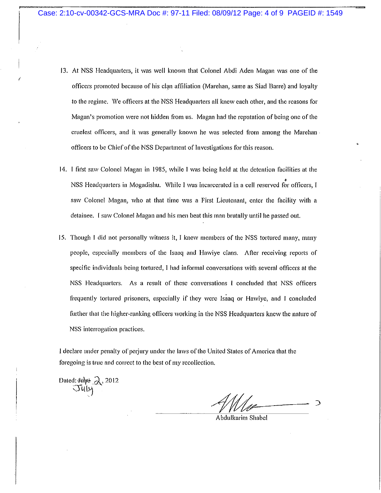- 13. At NSS Headquarters, it was well known that Colonel Abdi Aden Magan was one of the officers promoted because of his clan affiliation (Marehan, same as Siad Barre) and loyalty to the regime. We officers at the NSS Headquarters all knew each other, and the reasons for Magan's promotion were not hidden from us. Magan had the reputation of being one of the cruelest officers, and it was generally known he was selected from among the Marehan officers to be Chief of the NSS Department of Investigations for this reason.
- 14. I first saw Colonel Magan in 1985, while I was being held at the detention facilities at the NSS Headquarters in Mogadishu. While I was incarcerated in a cell reserved for officers, I saw Colonel Magan, who at that time was a First Lieutenant, enter the facility with a detainee. I saw Colonel Magan and his men beat this man brutally until he passed out.
- 15. Though I did not personally witness it, I knew members of the NSS tortured many, many people, especially members of the Isaaq and Hawiye clans. After receiving reports of specific individuals being tortured, I had informal conversations with several officers at the NSS Headquarters. As a result of these conversations I concluded that NSS officers frequently tortured prisoners, especially if they were Isaaq or Hawiye, and I concluded further that the higher-ranking officers working in the NSS Headquarters knew the nature of NSS interrogation practices.

I declare under penalty of perjury under the laws of the United States of America that the foregoing is true and correct to the best of my recollection.

Dated:  $\frac{1}{\sqrt{3}}$  2012

Abdulkarim Shabel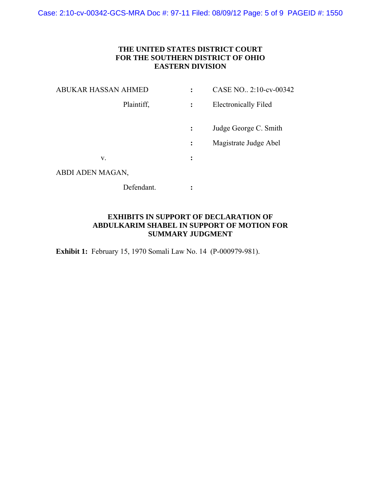# **THE UNITED STATES DISTRICT COURT FOR THE SOUTHERN DISTRICT OF OHIO EASTERN DIVISION**

| <b>ABUKAR HASSAN AHMED</b> |                | CASE NO., 2:10-cv-00342     |
|----------------------------|----------------|-----------------------------|
| Plaintiff,                 | $\ddot{\cdot}$ | <b>Electronically Filed</b> |
|                            | $\ddot{\cdot}$ | Judge George C. Smith       |
|                            | $\ddot{\cdot}$ | Magistrate Judge Abel       |
| V.                         | $\ddot{\cdot}$ |                             |
| ABDI ADEN MAGAN,           |                |                             |
| Defendant.                 |                |                             |

# **EXHIBITS IN SUPPORT OF DECLARATION OF ABDULKARIM SHABEL IN SUPPORT OF MOTION FOR SUMMARY JUDGMENT**

**Exhibit 1:** February 15, 1970 Somali Law No. 14 (P-000979-981).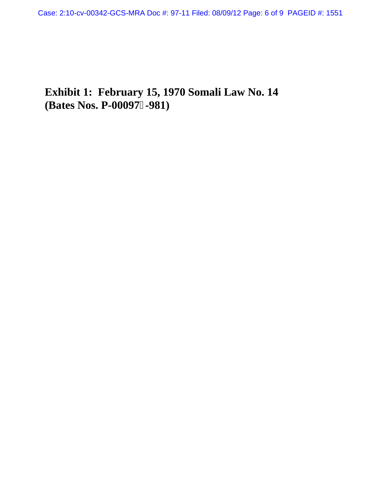# **Exhibit 1: February 15, 1970 Somali Law No. 14 (Bates Nos. P-00097-981)**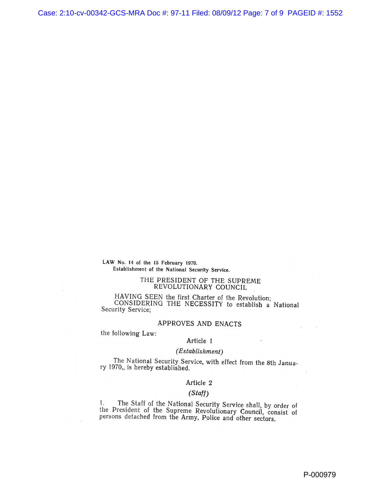LAW No. 14 of the 15 February 1970. Establishment of the National Security Service.

#### THE PRESIDENT OF THE SUPREME REVOLUTIONARY COUNCIL

HAVING SEEN the first Charter of the Revolution; CONSIDERING THE NECESSITY to establish a National Security Service;

# APPROVES AND ENACTS

the following Law:

# Article 1

# (Establishment)

The National Security Service, with effect from the 8th January 1970,, is hereby established.

### Article 2

## $(Staff)$

The Staff of the National Security Service shall, by order of  $1.1$ the President of the National Security Service share, by State of<br>the President of the Supreme Revolutionary Council, consist of<br>persons detached from the Army, Police and other sectors.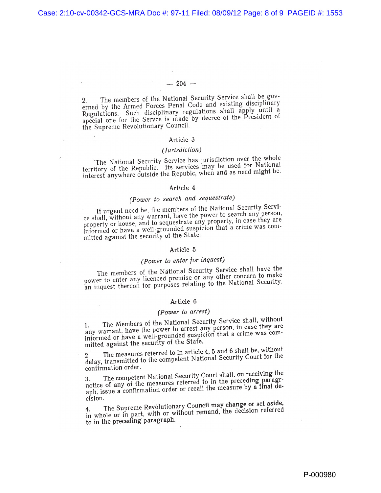# $-204-$

The members of the National Security Service shall be gov- $2.$ erned by the Armed Forces Penal Code and existing disciplinary Regulations. Such disciplinary regulations shall apply until a special one for the Servce is made by decree of the President of the Supreme Revolutionary Council.

#### Article 3

# (Jurisdiction)

The National Security Service has jurisdiction over the whole<br>territory of the Republic. Its services may be used for National interest anywhere outside the Republe, when and as need might be.

# Article 4

# (Power to search and sequestrate)

If urgent need be, the members of the National Security Service shall, without any warrant, have the power to search any person, property or house, and to sequestrate any property, in case they are informed or have a well-grounded suspicion that a crime was committed against the security of the State.

#### Article 5

# (Power to enter for inquest)

The members of the National Security Service shall have the power to enter any licenced premise or any other concern to make an inquest thereon for purposes relating to the National Security.

# Article 6

# (Power to arrest)

The Members of the National Security Service shall, without any warrant, have the power to arrest any person, in case they are informed or have a well-grounded suspicion that a crime was committed against the security of the State.

The measures referred to in article 4, 5 and 6 shall be, without delay, transmitted to the competent National Security Court for the confirmation order.

The competent National Security Court shall, on receiving the notice of any of the measures referred to in the preceding paragraph, issue a confirmation order or recall the measure by a final decision.

The Supreme Revolutionary Council may change or set aside, in whole or in part, with or without remand, the decision referred to in the preceding paragraph.